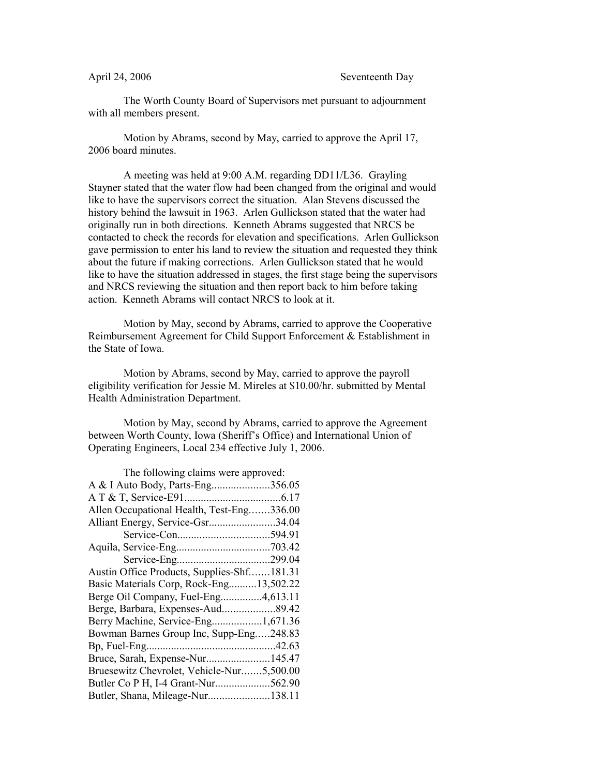The Worth County Board of Supervisors met pursuant to adjournment with all members present.

Motion by Abrams, second by May, carried to approve the April 17, 2006 board minutes.

A meeting was held at 9:00 A.M. regarding DD11/L36. Grayling Stayner stated that the water flow had been changed from the original and would like to have the supervisors correct the situation. Alan Stevens discussed the history behind the lawsuit in 1963. Arlen Gullickson stated that the water had originally run in both directions. Kenneth Abrams suggested that NRCS be contacted to check the records for elevation and specifications. Arlen Gullickson gave permission to enter his land to review the situation and requested they think about the future if making corrections. Arlen Gullickson stated that he would like to have the situation addressed in stages, the first stage being the supervisors and NRCS reviewing the situation and then report back to him before taking action. Kenneth Abrams will contact NRCS to look at it.

Motion by May, second by Abrams, carried to approve the Cooperative Reimbursement Agreement for Child Support Enforcement & Establishment in the State of Iowa.

Motion by Abrams, second by May, carried to approve the payroll eligibility verification for Jessie M. Mireles at \$10.00/hr. submitted by Mental Health Administration Department.

Motion by May, second by Abrams, carried to approve the Agreement between Worth County, Iowa (Sheriff's Office) and International Union of Operating Engineers, Local 234 effective July 1, 2006.

| The following claims were approved:        |  |
|--------------------------------------------|--|
| A & I Auto Body, Parts-Eng356.05           |  |
|                                            |  |
| Allen Occupational Health, Test-Eng336.00  |  |
| Alliant Energy, Service-Gsr34.04           |  |
|                                            |  |
|                                            |  |
|                                            |  |
| Austin Office Products, Supplies-Shf181.31 |  |
| Basic Materials Corp, Rock-Eng13,502.22    |  |
| Berge Oil Company, Fuel-Eng4,613.11        |  |
| Berge, Barbara, Expenses-Aud89.42          |  |
| Berry Machine, Service-Eng1,671.36         |  |
| Bowman Barnes Group Inc, Supp-Eng248.83    |  |
|                                            |  |
| Bruce, Sarah, Expense-Nur145.47            |  |
| Bruesewitz Chevrolet, Vehicle-Nur5,500.00  |  |
| Butler Co P H, I-4 Grant-Nur562.90         |  |
| Butler, Shana, Mileage-Nur138.11           |  |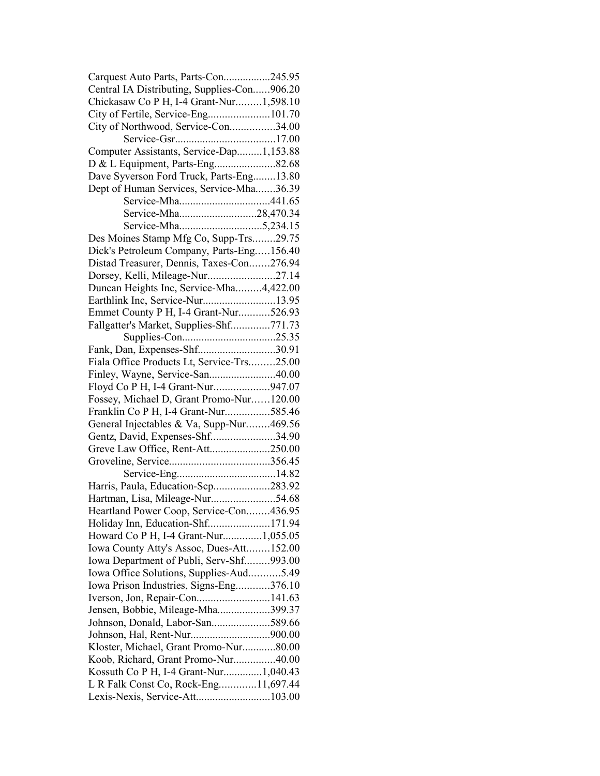| Carquest Auto Parts, Parts-Con245.95        |  |
|---------------------------------------------|--|
| Central IA Distributing, Supplies-Con906.20 |  |
| Chickasaw Co P H, I-4 Grant-Nur1,598.10     |  |
| City of Fertile, Service-Eng101.70          |  |
| City of Northwood, Service-Con34.00         |  |
|                                             |  |
| Computer Assistants, Service-Dap1,153.88    |  |
|                                             |  |
| Dave Syverson Ford Truck, Parts-Eng13.80    |  |
| Dept of Human Services, Service-Mha36.39    |  |
|                                             |  |
| Service-Mha28,470.34                        |  |
|                                             |  |
| Des Moines Stamp Mfg Co, Supp-Trs29.75      |  |
| Dick's Petroleum Company, Parts-Eng156.40   |  |
| Distad Treasurer, Dennis, Taxes-Con276.94   |  |
| Dorsey, Kelli, Mileage-Nur27.14             |  |
| Duncan Heights Inc, Service-Mha4,422.00     |  |
| Earthlink Inc, Service-Nur13.95             |  |
| Emmet County P H, I-4 Grant-Nur526.93       |  |
| Fallgatter's Market, Supplies-Shf771.73     |  |
|                                             |  |
| Fank, Dan, Expenses-Shf30.91                |  |
| Fiala Office Products Lt, Service-Trs25.00  |  |
|                                             |  |
| Floyd Co P H, I-4 Grant-Nur947.07           |  |
| Fossey, Michael D, Grant Promo-Nur120.00    |  |
| Franklin Co P H, I-4 Grant-Nur585.46        |  |
| General Injectables & Va, Supp-Nur469.56    |  |
| Gentz, David, Expenses-Shf34.90             |  |
| Greve Law Office, Rent-Att250.00            |  |
|                                             |  |
|                                             |  |
| Harris, Paula, Education-Scp283.92          |  |
| Hartman, Lisa, Mileage-Nur54.68             |  |
| Heartland Power Coop, Service-Con436.95     |  |
| Holiday Inn, Education-Shf171.94            |  |
| Howard Co P H, I-4 Grant-Nur1,055.05        |  |
| Iowa County Atty's Assoc, Dues-Att152.00    |  |
| Iowa Department of Publi, Serv-Shf993.00    |  |
| Iowa Office Solutions, Supplies-Aud5.49     |  |
| Iowa Prison Industries, Signs-Eng376.10     |  |
| Iverson, Jon, Repair-Con141.63              |  |
| Jensen, Bobbie, Mileage-Mha399.37           |  |
| Johnson, Donald, Labor-San589.66            |  |
|                                             |  |
| Kloster, Michael, Grant Promo-Nur80.00      |  |
| Koob, Richard, Grant Promo-Nur40.00         |  |
| Kossuth Co P H, I-4 Grant-Nur1,040.43       |  |
| L R Falk Const Co, Rock-Eng11,697.44        |  |
| Lexis-Nexis, Service-Att103.00              |  |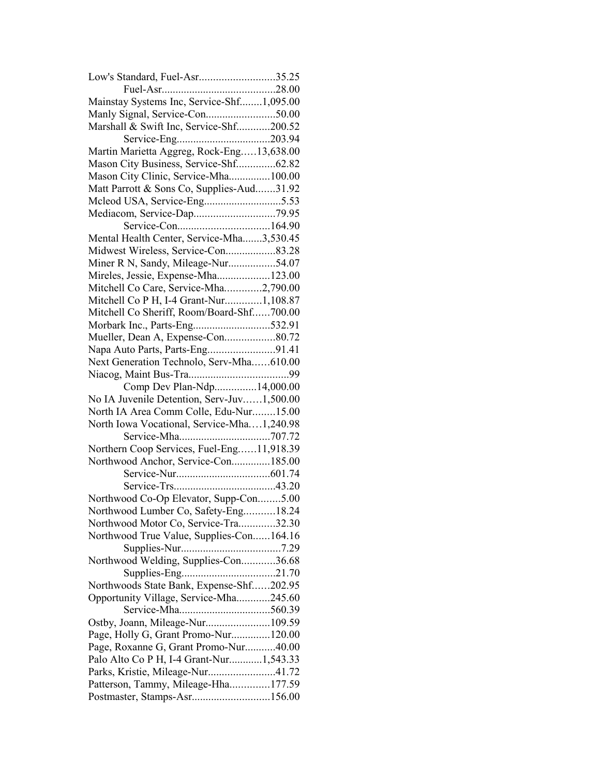| Low's Standard, Fuel-Asr35.25                                                    |  |
|----------------------------------------------------------------------------------|--|
|                                                                                  |  |
| Mainstay Systems Inc, Service-Shf1,095.00                                        |  |
|                                                                                  |  |
| Marshall & Swift Inc, Service-Shf200.52                                          |  |
|                                                                                  |  |
| Martin Marietta Aggreg, Rock-Eng13,638.00                                        |  |
| Mason City Business, Service-Shf62.82                                            |  |
| Mason City Clinic, Service-Mha100.00                                             |  |
| Matt Parrott & Sons Co, Supplies-Aud31.92                                        |  |
|                                                                                  |  |
|                                                                                  |  |
|                                                                                  |  |
| Mental Health Center, Service-Mha3,530.45                                        |  |
|                                                                                  |  |
| Miner R N, Sandy, Mileage-Nur54.07                                               |  |
| Mireles, Jessie, Expense-Mha123.00                                               |  |
| Mitchell Co Care, Service-Mha2,790.00                                            |  |
| Mitchell Co P H, I-4 Grant-Nur1,108.87                                           |  |
| Mitchell Co Sheriff, Room/Board-Shf700.00                                        |  |
| Morbark Inc., Parts-Eng532.91                                                    |  |
| Mueller, Dean A, Expense-Con80.72                                                |  |
| Napa Auto Parts, Parts-Eng91.41                                                  |  |
| Next Generation Technolo, Serv-Mha610.00                                         |  |
|                                                                                  |  |
| Comp Dev Plan-Ndp14,000.00                                                       |  |
| No IA Juvenile Detention, Serv-Juv1,500.00                                       |  |
| North IA Area Comm Colle, Edu-Nur15.00                                           |  |
| North Iowa Vocational, Service-Mha1,240.98                                       |  |
|                                                                                  |  |
| Northern Coop Services, Fuel-Eng11,918.39                                        |  |
| Northwood Anchor, Service-Con185.00                                              |  |
|                                                                                  |  |
|                                                                                  |  |
| Northwood Co-Op Elevator, Supp-Con5.00                                           |  |
| Northwood Lumber Co, Safety-Eng18.24                                             |  |
| Northwood Motor Co, Service-Tra32.30                                             |  |
| Northwood True Value, Supplies-Con164.16                                         |  |
|                                                                                  |  |
| Northwood Welding, Supplies-Con36.68                                             |  |
|                                                                                  |  |
| Northwoods State Bank, Expense-Shf202.95                                         |  |
| Opportunity Village, Service-Mha245.60                                           |  |
|                                                                                  |  |
| Ostby, Joann, Mileage-Nur109.59                                                  |  |
| Page, Holly G, Grant Promo-Nur120.00                                             |  |
|                                                                                  |  |
| Page, Roxanne G, Grant Promo-Nur40.00<br>Palo Alto Co P H, I-4 Grant-Nur1,543.33 |  |
|                                                                                  |  |
| Parks, Kristie, Mileage-Nur41.72                                                 |  |
| Patterson, Tammy, Mileage-Hha177.59<br>Postmaster, Stamps-Asr156.00              |  |
|                                                                                  |  |